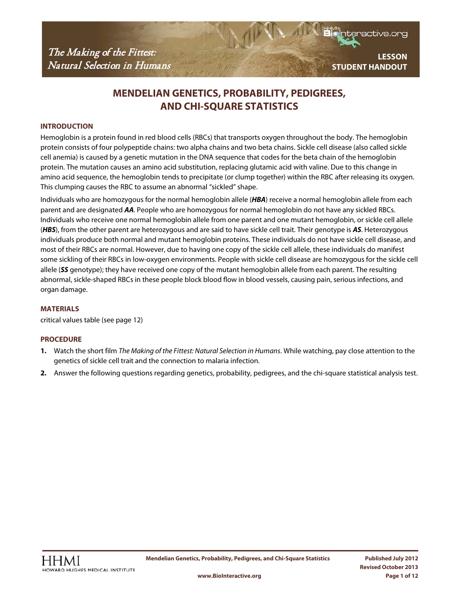nteractive.org

# **MENDELIAN GENETICS, PROBABILITY, PEDIGREES, AND CHI-SQUARE STATISTICS**

### **INTRODUCTION**

Hemoglobin is a protein found in red blood cells (RBCs) that transports oxygen throughout the body. The hemoglobin protein consists of four polypeptide chains: two alpha chains and two beta chains. Sickle cell disease (also called sickle cell anemia) is caused by a genetic mutation in the DNA sequence that codes for the beta chain of the hemoglobin protein. The mutation causes an amino acid substitution, replacing glutamic acid with valine. Due to this change in amino acid sequence, the hemoglobin tends to precipitate (or clump together) within the RBC after releasing its oxygen. This clumping causes the RBC to assume an abnormal "sickled" shape.

Individuals who are homozygous for the normal hemoglobin allele (*HBA*) receive a normal hemoglobin allele from each parent and are designated *AA*. People who are homozygous for normal hemoglobin do not have any sickled RBCs. Individuals who receive one normal hemoglobin allele from one parent and one mutant hemoglobin, or sickle cell allele (*HBS*), from the other parent are heterozygous and are said to have sickle cell trait. Their genotype is *AS*. Heterozygous individuals produce both normal and mutant hemoglobin proteins. These individuals do not have sickle cell disease, and most of their RBCs are normal. However, due to having one copy of the sickle cell allele, these individuals do manifest some sickling of their RBCs in low-oxygen environments. People with sickle cell disease are homozygous for the sickle cell allele (*SS* genotype); they have received one copy of the mutant hemoglobin allele from each parent. The resulting abnormal, sickle-shaped RBCs in these people block blood flow in blood vessels, causing pain, serious infections, and organ damage.

#### **MATERIALS**

critical values table (see page 12)

## **PROCEDURE**

- **1.** Watch the short film *The Making of the Fittest: Natural Selection in Humans*. While watching, pay close attention to the genetics of sickle cell trait and the connection to malaria infection.
- **2.** Answer the following questions regarding genetics, probability, pedigrees, and the chi-square statistical analysis test.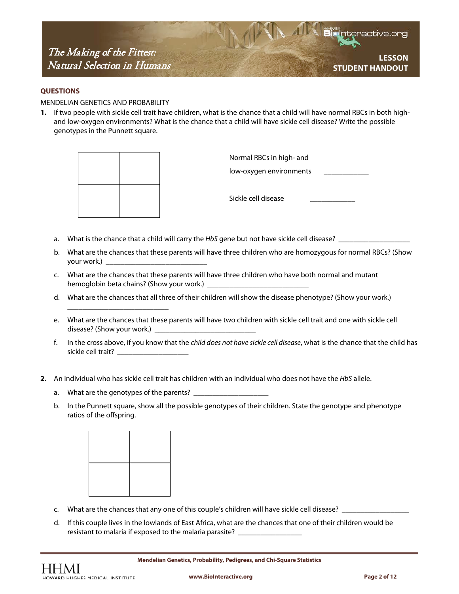**LESSON STUDENT HANDOUT**

#### **QUESTIONS**

MENDELIAN GENETICS AND PROBABILITY

**1.** If two people with sickle cell trait have children, what is the chance that a child will have normal RBCs in both highand low-oxygen environments? What is the chance that a child will have sickle cell disease? Write the possible genotypes in the Punnett square.



Normal RBCs in high- and

low-oxygen environments

Sickle cell disease

- a. What is the chance that a child will carry the *HbS* gene but not have sickle cell disease? \_\_\_\_\_\_\_\_\_\_\_\_\_\_\_\_\_\_
- b. What are the chances that these parents will have three children who are homozygous for normal RBCs? (Show your work.) \_\_\_\_\_\_\_\_\_\_\_\_\_\_\_\_\_\_\_\_\_\_\_\_\_\_\_
- c. What are the chances that these parents will have three children who have both normal and mutant hemoglobin beta chains? (Show your work.) \_\_\_\_\_\_\_\_\_\_\_\_\_\_\_\_\_\_\_\_\_\_\_\_\_\_\_
- d. What are the chances that all three of their children will show the disease phenotype? (Show your work.)
- e. What are the chances that these parents will have two children with sickle cell trait and one with sickle cell disease? (Show your work.) \_\_\_\_\_\_\_\_\_\_\_\_\_\_\_\_\_\_\_\_\_\_\_\_\_\_\_
- f. In the cross above, if you know that the *child does not have sickle cell disease*, what is the chance that the child has sickle cell trait?
- **2.** An individual who has sickle cell trait has children with an individual who does not have the *HbS* allele.
	- a. What are the genotypes of the parents? \_\_

\_\_\_\_\_\_\_\_\_\_\_\_\_\_\_\_\_\_\_\_\_\_\_\_\_\_\_

b. In the Punnett square, show all the possible genotypes of their children. State the genotype and phenotype ratios of the offspring.



- c. What are the chances that any one of this couple's children will have sickle cell disease? \_\_\_\_\_\_\_\_\_\_\_\_\_\_\_\_\_\_
- d. If this couple lives in the lowlands of East Africa, what are the chances that one of their children would be resistant to malaria if exposed to the malaria parasite? \_\_\_\_\_\_\_\_\_\_\_\_\_\_\_\_\_\_\_\_\_\_\_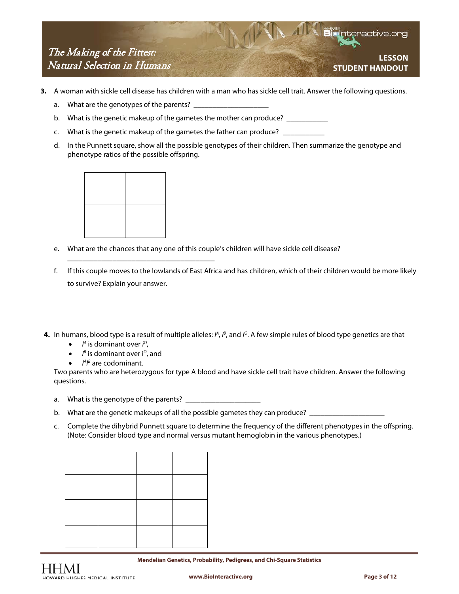**LESSON STUDENT HANDOUT**

- **3.** A woman with sickle cell disease has children with a man who has sickle cell trait. Answer the following questions.
	- a. What are the genotypes of the parents?
	- b. What is the genetic makeup of the gametes the mother can produce? \_\_\_\_\_\_\_\_\_\_\_
	- c. What is the genetic makeup of the gametes the father can produce? \_\_\_\_\_
	- d. In the Punnett square, show all the possible genotypes of their children. Then summarize the genotype and phenotype ratios of the possible offspring.



\_\_\_\_\_\_\_\_\_\_\_\_\_\_\_\_\_\_\_\_\_\_\_\_\_\_\_\_\_\_\_\_\_\_\_\_\_\_\_

- e. What are the chances that any one of this couple's children will have sickle cell disease?
- f. If this couple moves to the lowlands of East Africa and has children, which of their children would be more likely to survive? Explain your answer.
- **4.** In humans, blood type is a result of multiple alleles:  $A$ ,  $B$ , and  $I^O$ . A few simple rules of blood type genetics are that
	- *is dominant over*  $*i*<sup>o</sup>$ *,*
	- *I <sup>B</sup>* is dominant over i*<sup>O</sup>*, and
	- *I<sup>A</sup>I<sup>B</sup>* are codominant.

Two parents who are heterozygous for type A blood and have sickle cell trait have children. Answer the following questions.

- a. What is the genotype of the parents? \_\_\_\_\_\_\_\_\_\_\_\_\_\_\_\_\_\_\_\_
- b. What are the genetic makeups of all the possible gametes they can produce? \_\_\_\_\_\_\_\_\_
- c. Complete the dihybrid Punnett square to determine the frequency of the different phenotypes in the offspring. (Note: Consider blood type and normal versus mutant hemoglobin in the various phenotypes.)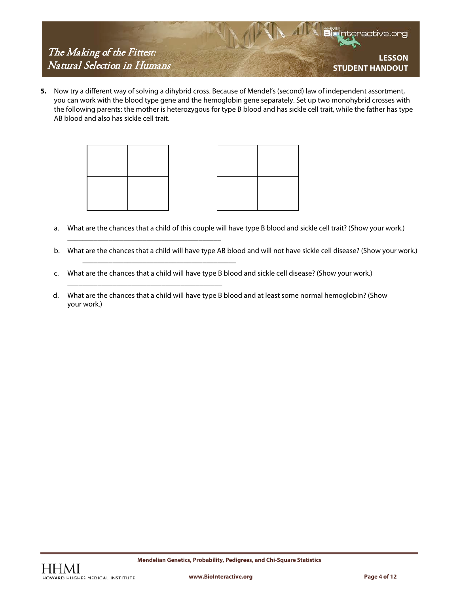

**5.** Now try a different way of solving a dihybrid cross. Because of Mendel's (second) law of independent assortment, you can work with the blood type gene and the hemoglobin gene separately. Set up two monohybrid crosses with the following parents: the mother is heterozygous for type B blood and has sickle cell trait, while the father has type AB blood and also has sickle cell trait.



\_\_\_\_\_\_\_\_\_\_\_\_\_\_\_\_\_\_\_\_\_\_\_\_\_\_\_\_\_\_\_\_\_\_\_\_\_\_\_\_\_

\_\_\_\_\_\_\_\_\_\_\_\_\_\_\_\_\_\_\_\_\_\_\_\_\_\_\_\_\_\_\_\_\_\_\_\_\_\_\_\_\_

\_\_\_\_\_\_\_\_\_\_\_\_\_\_\_\_\_\_\_\_\_\_\_\_\_\_\_\_\_\_\_\_\_\_\_\_\_\_\_\_\_



- a. What are the chances that a child of this couple will have type B blood and sickle cell trait? (Show your work.)
- b. What are the chances that a child will have type AB blood and will not have sickle cell disease? (Show your work.)
- c. What are the chances that a child will have type B blood and sickle cell disease? (Show your work.)
- d. What are the chances that a child will have type B blood and at least some normal hemoglobin? (Show your work.)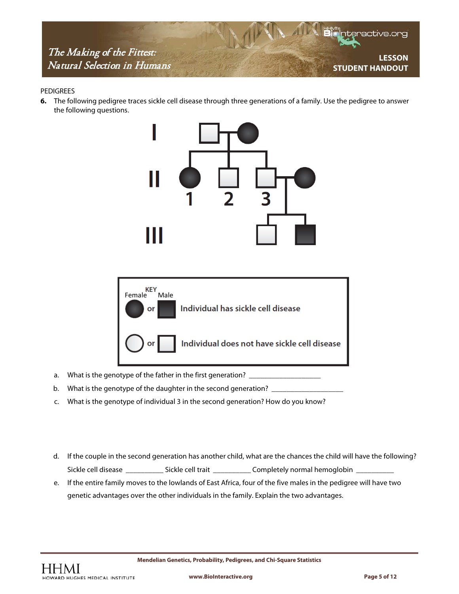

#### PEDIGREES

**6.** The following pedigree traces sickle cell disease through three generations of a family. Use the pedigree to answer the following questions.





- a. What is the genotype of the father in the first generation?
- b. What is the genotype of the daughter in the second generation?
- c. What is the genotype of individual 3 in the second generation? How do you know?
- d. If the couple in the second generation has another child, what are the chances the child will have the following? Sickle cell disease \_\_\_\_\_\_\_\_\_\_\_\_\_\_ Sickle cell trait \_\_\_\_\_\_\_\_\_\_\_\_\_\_ Completely normal hemoglobin \_
- e. If the entire family moves to the lowlands of East Africa, four of the five males in the pedigree will have two genetic advantages over the other individuals in the family. Explain the two advantages.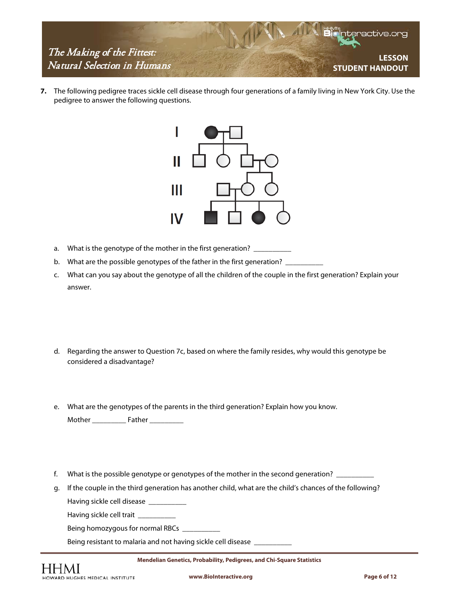

**7.** The following pedigree traces sickle cell disease through four generations of a family living in New York City. Use the pedigree to answer the following questions.



- a. What is the genotype of the mother in the first generation? \_\_\_\_\_\_\_\_\_\_\_\_\_\_\_\_\_
- b. What are the possible genotypes of the father in the first generation? \_\_\_\_\_\_
- c. What can you say about the genotype of all the children of the couple in the first generation? Explain your answer.
- d. Regarding the answer to Question 7c, based on where the family resides, why would this genotype be considered a disadvantage?
- e. What are the genotypes of the parents in the third generation? Explain how you know. Mother \_\_\_\_\_\_\_\_\_ Father \_\_\_\_\_\_\_\_\_
- f. What is the possible genotype or genotypes of the mother in the second generation? \_\_\_\_\_\_\_\_\_\_
- g. If the couple in the third generation has another child, what are the child's chances of the following? Having sickle cell disease \_\_\_\_\_\_\_\_\_\_

Having sickle cell trait \_\_\_\_\_\_

Being homozygous for normal RBCs \_\_\_\_\_\_\_\_\_\_

Being resistant to malaria and not having sickle cell disease \_\_\_\_\_\_\_\_\_\_

**Mendelian Genetics, Probability, Pedigrees, and Chi-Square Statistics**

**www.BioInteractive.org Page 6 of 12**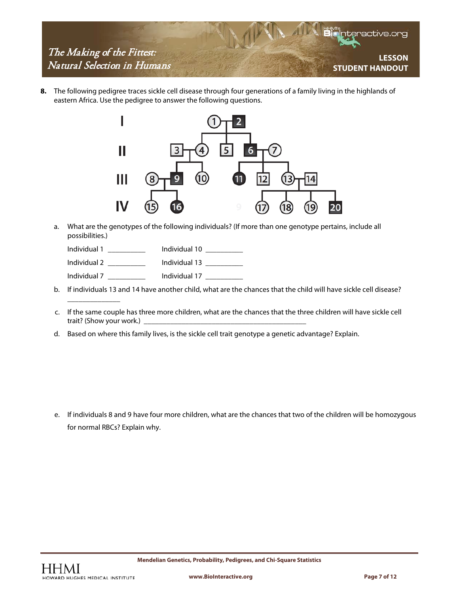

**8.** The following pedigree traces sickle cell disease through four generations of a family living in the highlands of eastern Africa. Use the pedigree to answer the following questions.



a. What are the genotypes of the following individuals? (If more than one genotype pertains, include all possibilities.)

Individual 1 \_\_\_\_\_\_\_\_\_\_ Individual 10 \_\_\_\_\_\_\_\_\_\_

Individual 2 \_\_\_\_\_\_\_\_\_\_ Individual 13 \_\_\_\_\_\_\_\_\_\_

Individual 7 \_\_\_\_\_\_\_\_\_\_ Individual 17 \_\_\_\_\_\_\_\_\_\_

- b. If individuals 13 and 14 have another child, what are the chances that the child will have sickle cell disease?
- c. If the same couple has three more children, what are the chances that the three children will have sickle cell trait? (Show your work.) \_
- d. Based on where this family lives, is the sickle cell trait genotype a genetic advantage? Explain.

e. If individuals 8 and 9 have four more children, what are the chances that two of the children will be homozygous for normal RBCs? Explain why.

\_\_\_\_\_\_\_\_\_\_\_\_\_\_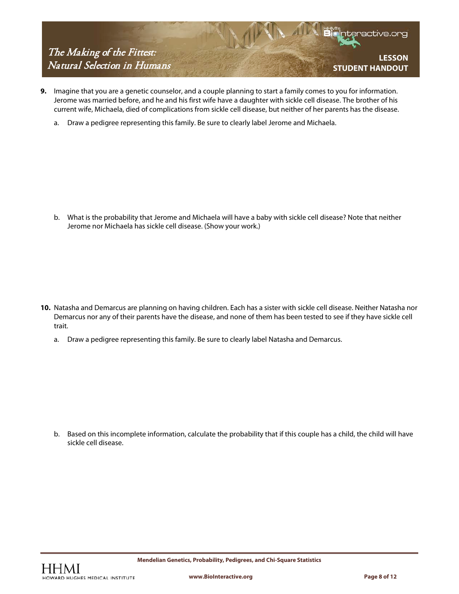

- **9.** Imagine that you are a genetic counselor, and a couple planning to start a family comes to you for information. Jerome was married before, and he and his first wife have a daughter with sickle cell disease. The brother of his current wife, Michaela, died of complications from sickle cell disease, but neither of her parents has the disease.
	- a. Draw a pedigree representing this family. Be sure to clearly label Jerome and Michaela.

b. What is the probability that Jerome and Michaela will have a baby with sickle cell disease? Note that neither Jerome nor Michaela has sickle cell disease. (Show your work.)

- **10.** Natasha and Demarcus are planning on having children. Each has a sister with sickle cell disease. Neither Natasha nor Demarcus nor any of their parents have the disease, and none of them has been tested to see if they have sickle cell trait.
	- a. Draw a pedigree representing this family. Be sure to clearly label Natasha and Demarcus.

b. Based on this incomplete information, calculate the probability that if this couple has a child, the child will have sickle cell disease.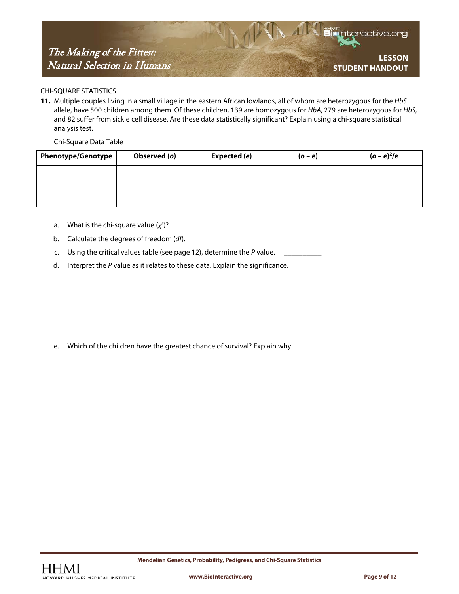**LESSON STUDENT HANDOUT**

### CHI-SQUARE STATISTICS

**11.** Multiple couples living in a small village in the eastern African lowlands, all of whom are heterozygous for the *HbS* allele, have 500 children among them. Of these children, 139 are homozygous for *HbA*, 279 are heterozygous for *HbS*, and 82 suffer from sickle cell disease. Are these data statistically significant? Explain using a chi-square statistical analysis test.

Chi-Square Data Table

| <b>Phenotype/Genotype</b> | Observed (o) | Expected (e) | $(o-e)$ | $(o - e)2/e$ |
|---------------------------|--------------|--------------|---------|--------------|
|                           |              |              |         |              |
|                           |              |              |         |              |
|                           |              |              |         |              |

- a. What is the chi-square value (χ<sup>2</sup>)? \_\_\_\_\_\_\_\_\_\_
- b. Calculate the degrees of freedom (*df*). \_\_\_\_\_\_\_\_\_\_
- c. Using the critical values table (see page 12), determine the *P* value.
- d. Interpret the *P* value as it relates to these data. Explain the significance.

e. Which of the children have the greatest chance of survival? Explain why.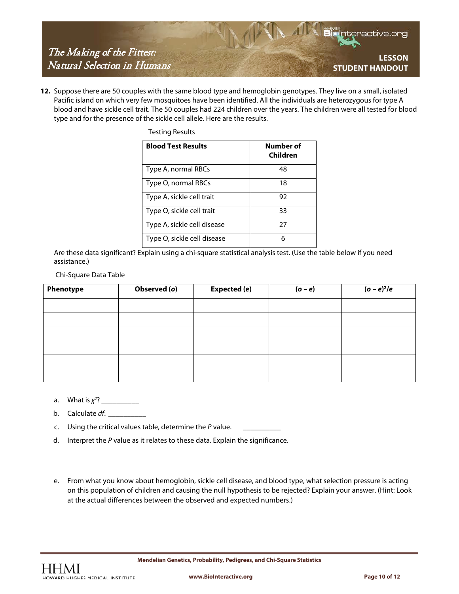

**12.** Suppose there are 50 couples with the same blood type and hemoglobin genotypes. They live on a small, isolated Pacific island on which very few mosquitoes have been identified. All the individuals are heterozygous for type A blood and have sickle cell trait. The 50 couples had 224 children over the years. The children were all tested for blood type and for the presence of the sickle cell allele. Here are the results.

| <b>Blood Test Results</b>   | Number of<br>Children |
|-----------------------------|-----------------------|
| Type A, normal RBCs         | 48                    |
| Type O, normal RBCs         | 18                    |
| Type A, sickle cell trait   | 92                    |
| Type O, sickle cell trait   | 33                    |
| Type A, sickle cell disease | 27                    |
| Type O, sickle cell disease | 6                     |

Are these data significant? Explain using a chi-square statistical analysis test. (Use the table below if you need assistance.)

#### Chi-Square Data Table

| Phenotype | Observed (o) | Expected (e) | $(o - e)$ | $(o - e)^2/e$ |
|-----------|--------------|--------------|-----------|---------------|
|           |              |              |           |               |
|           |              |              |           |               |
|           |              |              |           |               |
|           |              |              |           |               |
|           |              |              |           |               |
|           |              |              |           |               |

**a**. What is  $\chi^2$ ? \_\_\_\_\_\_\_\_\_\_\_\_

b. Calculate *df*.

- c. Using the critical values table, determine the *P* value.
- d. Interpret the *P* value as it relates to these data. Explain the significance.

Testing Results

e. From what you know about hemoglobin, sickle cell disease, and blood type, what selection pressure is acting on this population of children and causing the null hypothesis to be rejected? Explain your answer. (Hint: Look at the actual differences between the observed and expected numbers.)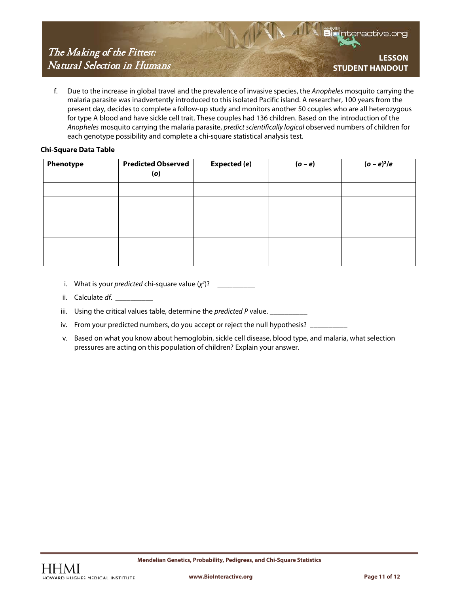f. Due to the increase in global travel and the prevalence of invasive species, the *Anopheles* mosquito carrying the malaria parasite was inadvertently introduced to this isolated Pacific island. A researcher, 100 years from the present day, decides to complete a follow-up study and monitors another 50 couples who are all heterozygous for type A blood and have sickle cell trait. These couples had 136 children. Based on the introduction of the *Anopheles* mosquito carrying the malaria parasite, *predict scientifically logical* observed numbers of children for each genotype possibility and complete a chi-square statistical analysis test.

## **Chi-Square Data Table**

| Phenotype | <b>Predicted Observed</b><br>(o) | <b>Expected (e)</b> | $(o-e)$ | $(o - e)2/e$ |
|-----------|----------------------------------|---------------------|---------|--------------|
|           |                                  |                     |         |              |
|           |                                  |                     |         |              |
|           |                                  |                     |         |              |
|           |                                  |                     |         |              |
|           |                                  |                     |         |              |
|           |                                  |                     |         |              |

- i. What is your *predicted* chi-square value (χ<sup>2</sup>)? \_\_\_\_\_\_\_\_\_\_\_\_
- ii. Calculate *df*.
- iii. Using the critical values table, determine the *predicted* P value. \_\_\_\_\_\_\_\_\_
- iv. From your predicted numbers, do you accept or reject the null hypothesis? \_\_
- v. Based on what you know about hemoglobin, sickle cell disease, blood type, and malaria, what selection pressures are acting on this population of children? Explain your answer.